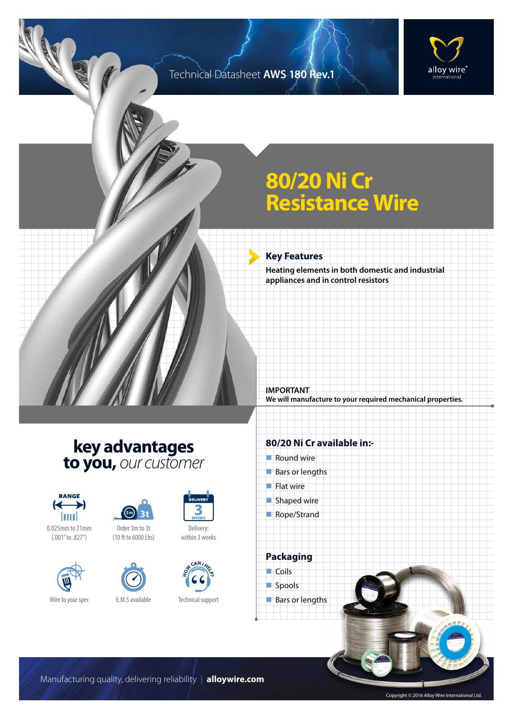### Technical Datasheet **AWS 180 Rev.1**



## **80/20 Ni Cr Resistance Wire**

#### **Key Features**

**IMPORTANT**

**Heating elements in both domestic and industrial appliances and in control resistors**

**We will manufacture to your required mechanical properties.**

## **key advantages to you,** *our customer*









Order 3m to 3t (10 ft to 6000 Lbs)





Delivery: within 3 weeks

DELIVER

Technical support

#### **80/20 Ni Cr available in:-**

 $\blacksquare$  Round wire  $\blacksquare$  Bars or lengths  $\blacksquare$  Flat wire  $\blacksquare$  Shaped wire Rope/Strand



Manufacturing quality, delivering reliability | **alloywire.com**

Copyright © 2016 Alloy Wire International Ltd.